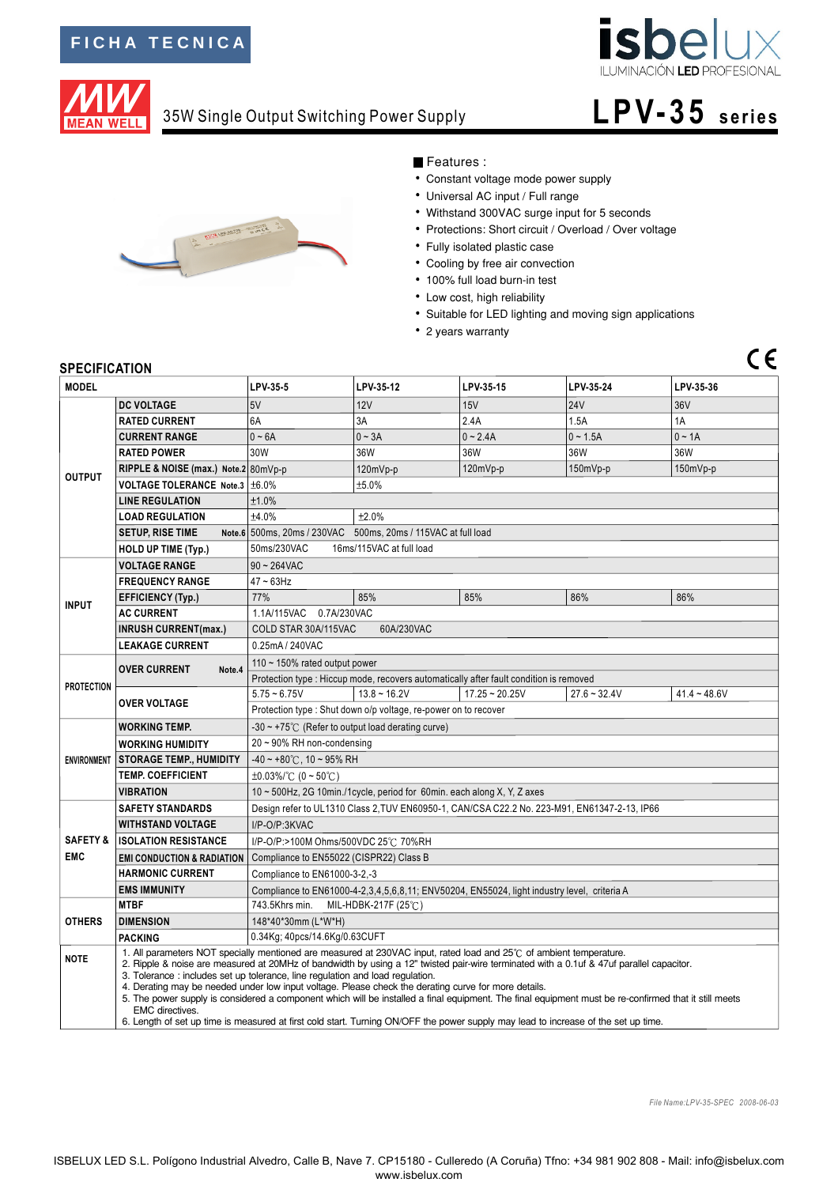

**L PV-3 5 s eri e s**

## 35W Single Output Switching Power Supply



## Features :

- Constant voltage mode power supply
- Universal AC input / Full range
- Withstand 300VAC surge input for 5 seconds
- Protections: Short circuit / Overload / Over voltage
- Fully isolated plastic case
- Cooling by free air convection
- 100% full load burn-in test
- Low cost, high reliability
- Suitable for LED lighting and moving sign applications
- 2 years warranty

## **SPECIFICATION**

**MEAN WELL** 

| SPECIFICATION                                      |                                                                                                                                                                                                                                                                                                                                                                                                                                                                                                                                                                                                                                                                                                                                                                                   |                                                                                              |                |                  |                |                |  |  |
|----------------------------------------------------|-----------------------------------------------------------------------------------------------------------------------------------------------------------------------------------------------------------------------------------------------------------------------------------------------------------------------------------------------------------------------------------------------------------------------------------------------------------------------------------------------------------------------------------------------------------------------------------------------------------------------------------------------------------------------------------------------------------------------------------------------------------------------------------|----------------------------------------------------------------------------------------------|----------------|------------------|----------------|----------------|--|--|
| <b>MODEL</b>                                       |                                                                                                                                                                                                                                                                                                                                                                                                                                                                                                                                                                                                                                                                                                                                                                                   | LPV-35-5                                                                                     | LPV-35-12      | LPV-35-15        | LPV-35-24      | LPV-35-36      |  |  |
| <b>OUTPUT</b>                                      | <b>DC VOLTAGE</b>                                                                                                                                                                                                                                                                                                                                                                                                                                                                                                                                                                                                                                                                                                                                                                 | 5V                                                                                           | 12V            | 15V              | <b>24V</b>     | 36V            |  |  |
|                                                    | <b>RATED CURRENT</b>                                                                                                                                                                                                                                                                                                                                                                                                                                                                                                                                                                                                                                                                                                                                                              | 6A                                                                                           | 3A             | 2.4A             | 1.5A           | 1A             |  |  |
|                                                    | <b>CURRENT RANGE</b>                                                                                                                                                                                                                                                                                                                                                                                                                                                                                                                                                                                                                                                                                                                                                              | $0 - 6A$                                                                                     | $0 - 3A$       | $0 - 2.4A$       | $0 - 1.5A$     | $0 \sim 1A$    |  |  |
|                                                    | <b>RATED POWER</b>                                                                                                                                                                                                                                                                                                                                                                                                                                                                                                                                                                                                                                                                                                                                                                | 30W                                                                                          | 36W            | 36W              | 36W            | 36W            |  |  |
|                                                    | RIPPLE & NOISE (max.) Note.2 80mVp-p                                                                                                                                                                                                                                                                                                                                                                                                                                                                                                                                                                                                                                                                                                                                              |                                                                                              | 120mVp-p       | 120mVp-p         | $150mVp-p$     | 150mVp-p       |  |  |
|                                                    | VOLTAGE TOLERANCE Note.3   ±6.0%                                                                                                                                                                                                                                                                                                                                                                                                                                                                                                                                                                                                                                                                                                                                                  | ±5.0%                                                                                        |                |                  |                |                |  |  |
|                                                    | <b>LINE REGULATION</b>                                                                                                                                                                                                                                                                                                                                                                                                                                                                                                                                                                                                                                                                                                                                                            | ±1.0%                                                                                        |                |                  |                |                |  |  |
|                                                    | <b>LOAD REGULATION</b>                                                                                                                                                                                                                                                                                                                                                                                                                                                                                                                                                                                                                                                                                                                                                            | ±4.0%<br>±2.0%                                                                               |                |                  |                |                |  |  |
|                                                    | <b>SETUP, RISE TIME</b>                                                                                                                                                                                                                                                                                                                                                                                                                                                                                                                                                                                                                                                                                                                                                           | Note.6 500ms, 20ms / 230VAC 500ms, 20ms / 115VAC at full load                                |                |                  |                |                |  |  |
| <b>HOLD UP TIME (Typ.)</b>                         |                                                                                                                                                                                                                                                                                                                                                                                                                                                                                                                                                                                                                                                                                                                                                                                   | 50ms/230VAC<br>16ms/115VAC at full load                                                      |                |                  |                |                |  |  |
|                                                    | <b>VOLTAGE RANGE</b>                                                                                                                                                                                                                                                                                                                                                                                                                                                                                                                                                                                                                                                                                                                                                              | $90 - 264$ VAC                                                                               |                |                  |                |                |  |  |
| <b>FREQUENCY RANGE</b>                             |                                                                                                                                                                                                                                                                                                                                                                                                                                                                                                                                                                                                                                                                                                                                                                                   | $47 - 63$ Hz                                                                                 |                |                  |                |                |  |  |
| <b>INPUT</b>                                       | <b>EFFICIENCY (Typ.)</b>                                                                                                                                                                                                                                                                                                                                                                                                                                                                                                                                                                                                                                                                                                                                                          | 77%                                                                                          | 85%            | 85%              | 86%            | 86%            |  |  |
|                                                    | <b>AC CURRENT</b>                                                                                                                                                                                                                                                                                                                                                                                                                                                                                                                                                                                                                                                                                                                                                                 | 1.1A/115VAC 0.7A/230VAC                                                                      |                |                  |                |                |  |  |
|                                                    | <b>INRUSH CURRENT(max.)</b>                                                                                                                                                                                                                                                                                                                                                                                                                                                                                                                                                                                                                                                                                                                                                       | COLD STAR 30A/115VAC<br>60A/230VAC                                                           |                |                  |                |                |  |  |
|                                                    | <b>LEAKAGE CURRENT</b>                                                                                                                                                                                                                                                                                                                                                                                                                                                                                                                                                                                                                                                                                                                                                            | 0.25mA / 240VAC                                                                              |                |                  |                |                |  |  |
| <b>PROTECTION</b>                                  | <b>OVER CURRENT</b><br>Note.4                                                                                                                                                                                                                                                                                                                                                                                                                                                                                                                                                                                                                                                                                                                                                     | 110 $\sim$ 150% rated output power                                                           |                |                  |                |                |  |  |
|                                                    |                                                                                                                                                                                                                                                                                                                                                                                                                                                                                                                                                                                                                                                                                                                                                                                   | Protection type : Hiccup mode, recovers automatically after fault condition is removed       |                |                  |                |                |  |  |
|                                                    | <b>OVER VOLTAGE</b>                                                                                                                                                                                                                                                                                                                                                                                                                                                                                                                                                                                                                                                                                                                                                               | $5.75 - 6.75V$                                                                               | $13.8 - 16.2V$ | $17.25 - 20.25V$ | $27.6 - 32.4V$ | $41.4 - 48.6V$ |  |  |
|                                                    |                                                                                                                                                                                                                                                                                                                                                                                                                                                                                                                                                                                                                                                                                                                                                                                   | Protection type: Shut down o/p voltage, re-power on to recover                               |                |                  |                |                |  |  |
|                                                    | <b>WORKING TEMP.</b>                                                                                                                                                                                                                                                                                                                                                                                                                                                                                                                                                                                                                                                                                                                                                              | $-30 \sim +75^{\circ}$ (Refer to output load derating curve)                                 |                |                  |                |                |  |  |
| <b>ENVIRONMENT</b>                                 | <b>WORKING HUMIDITY</b>                                                                                                                                                                                                                                                                                                                                                                                                                                                                                                                                                                                                                                                                                                                                                           | 20~90% RH non-condensing                                                                     |                |                  |                |                |  |  |
|                                                    | <b>STORAGE TEMP., HUMIDITY</b>                                                                                                                                                                                                                                                                                                                                                                                                                                                                                                                                                                                                                                                                                                                                                    | $-40 \sim +80^{\circ}$ C, 10 ~ 95% RH                                                        |                |                  |                |                |  |  |
|                                                    | <b>TEMP. COEFFICIENT</b>                                                                                                                                                                                                                                                                                                                                                                                                                                                                                                                                                                                                                                                                                                                                                          | $\pm 0.03\%$ (°C (0 ~ 50°C)                                                                  |                |                  |                |                |  |  |
|                                                    | <b>VIBRATION</b>                                                                                                                                                                                                                                                                                                                                                                                                                                                                                                                                                                                                                                                                                                                                                                  | 10 ~ 500Hz, 2G 10min./1cycle, period for 60min. each along X, Y, Z axes                      |                |                  |                |                |  |  |
|                                                    | <b>SAFETY STANDARDS</b>                                                                                                                                                                                                                                                                                                                                                                                                                                                                                                                                                                                                                                                                                                                                                           | Design refer to UL1310 Class 2, TUV EN60950-1, CAN/CSA C22.2 No. 223-M91, EN61347-2-13, IP66 |                |                  |                |                |  |  |
|                                                    | <b>WITHSTAND VOLTAGE</b>                                                                                                                                                                                                                                                                                                                                                                                                                                                                                                                                                                                                                                                                                                                                                          | I/P-O/P:3KVAC                                                                                |                |                  |                |                |  |  |
| <b>SAFETY &amp;</b><br><b>ISOLATION RESISTANCE</b> |                                                                                                                                                                                                                                                                                                                                                                                                                                                                                                                                                                                                                                                                                                                                                                                   | I/P-O/P:>100M Ohms/500VDC 25℃ 70%RH                                                          |                |                  |                |                |  |  |
| <b>EMC</b>                                         | <b>EMI CONDUCTION &amp; RADIATION</b>                                                                                                                                                                                                                                                                                                                                                                                                                                                                                                                                                                                                                                                                                                                                             | Compliance to EN55022 (CISPR22) Class B                                                      |                |                  |                |                |  |  |
|                                                    | <b>HARMONIC CURRENT</b>                                                                                                                                                                                                                                                                                                                                                                                                                                                                                                                                                                                                                                                                                                                                                           | Compliance to EN61000-3-2.-3                                                                 |                |                  |                |                |  |  |
|                                                    | <b>EMS IMMUNITY</b>                                                                                                                                                                                                                                                                                                                                                                                                                                                                                                                                                                                                                                                                                                                                                               | Compliance to EN61000-4-2,3,4,5,6,8,11; ENV50204, EN55024, light industry level, criteria A  |                |                  |                |                |  |  |
| <b>OTHERS</b>                                      | <b>MTBF</b>                                                                                                                                                                                                                                                                                                                                                                                                                                                                                                                                                                                                                                                                                                                                                                       | 743.5Khrs min.<br>MIL-HDBK-217F (25℃)                                                        |                |                  |                |                |  |  |
|                                                    | <b>DIMENSION</b>                                                                                                                                                                                                                                                                                                                                                                                                                                                                                                                                                                                                                                                                                                                                                                  | 148*40*30mm (L*W*H)                                                                          |                |                  |                |                |  |  |
|                                                    | <b>PACKING</b>                                                                                                                                                                                                                                                                                                                                                                                                                                                                                                                                                                                                                                                                                                                                                                    | 0.34Kg; 40pcs/14.6Kg/0.63CUFT                                                                |                |                  |                |                |  |  |
| <b>NOTE</b>                                        | 1. All parameters NOT specially mentioned are measured at 230VAC input, rated load and 25°C of ambient temperature.<br>2. Ripple & noise are measured at 20MHz of bandwidth by using a 12" twisted pair-wire terminated with a 0.1uf & 47uf parallel capacitor.<br>3. Tolerance: includes set up tolerance, line regulation and load regulation.<br>4. Derating may be needed under low input voltage. Please check the derating curve for more details.<br>5. The power supply is considered a component which will be installed a final equipment. The final equipment must be re-confirmed that it still meets<br><b>EMC</b> directives.<br>6. Length of set up time is measured at first cold start. Turning ON/OFF the power supply may lead to increase of the set up time. |                                                                                              |                |                  |                |                |  |  |

*File Name:LPV-35-SPEC 2008-06-03*